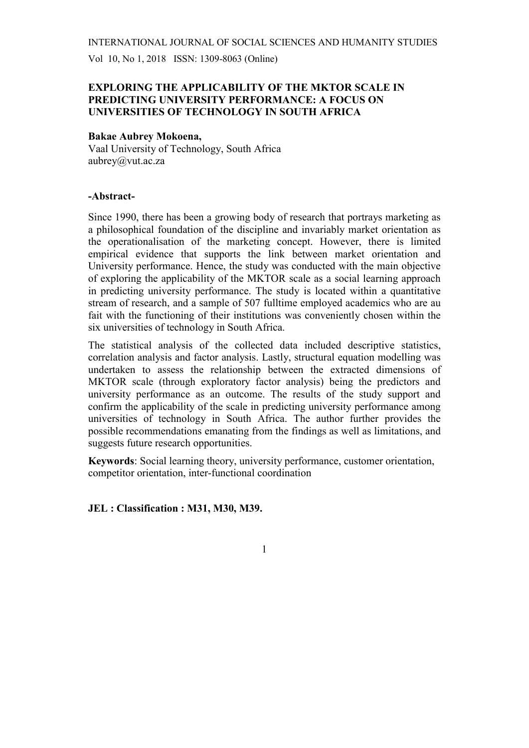Vol 10, No 1, 2018 ISSN: 1309-8063 (Online)

### EXPLORING THE APPLICABILITY OF THE MKTOR SCALE IN PREDICTING UNIVERSITY PERFORMANCE: A FOCUS ON UNIVERSITIES OF TECHNOLOGY IN SOUTH AFRICA

#### Bakae Aubrey Mokoena,

Vaal University of Technology, South Africa aubrey@vut.ac.za

#### -Abstract-

Since 1990, there has been a growing body of research that portrays marketing as a philosophical foundation of the discipline and invariably market orientation as the operationalisation of the marketing concept. However, there is limited empirical evidence that supports the link between market orientation and University performance. Hence, the study was conducted with the main objective of exploring the applicability of the MKTOR scale as a social learning approach in predicting university performance. The study is located within a quantitative stream of research, and a sample of 507 fulltime employed academics who are au fait with the functioning of their institutions was conveniently chosen within the six universities of technology in South Africa.

The statistical analysis of the collected data included descriptive statistics, correlation analysis and factor analysis. Lastly, structural equation modelling was undertaken to assess the relationship between the extracted dimensions of MKTOR scale (through exploratory factor analysis) being the predictors and university performance as an outcome. The results of the study support and confirm the applicability of the scale in predicting university performance among universities of technology in South Africa. The author further provides the possible recommendations emanating from the findings as well as limitations, and suggests future research opportunities.

Keywords: Social learning theory, university performance, customer orientation, competitor orientation, inter-functional coordination

1

#### JEL : Classification : M31, M30, M39.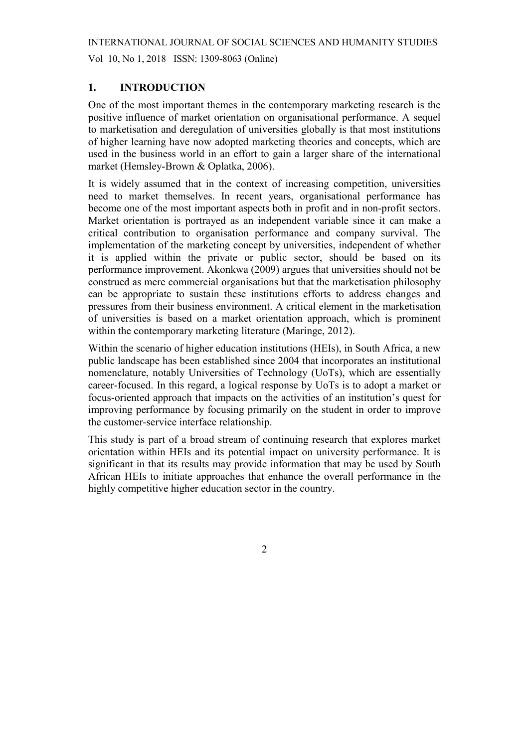Vol 10, No 1, 2018 ISSN: 1309-8063 (Online)

#### 1. INTRODUCTION

One of the most important themes in the contemporary marketing research is the positive influence of market orientation on organisational performance. A sequel to marketisation and deregulation of universities globally is that most institutions of higher learning have now adopted marketing theories and concepts, which are used in the business world in an effort to gain a larger share of the international market (Hemsley-Brown & Oplatka, 2006).

It is widely assumed that in the context of increasing competition, universities need to market themselves. In recent years, organisational performance has become one of the most important aspects both in profit and in non-profit sectors. Market orientation is portrayed as an independent variable since it can make a critical contribution to organisation performance and company survival. The implementation of the marketing concept by universities, independent of whether it is applied within the private or public sector, should be based on its performance improvement. Akonkwa (2009) argues that universities should not be construed as mere commercial organisations but that the marketisation philosophy can be appropriate to sustain these institutions efforts to address changes and pressures from their business environment. A critical element in the marketisation of universities is based on a market orientation approach, which is prominent within the contemporary marketing literature (Maringe, 2012).

Within the scenario of higher education institutions (HEIs), in South Africa, a new public landscape has been established since 2004 that incorporates an institutional nomenclature, notably Universities of Technology (UoTs), which are essentially career-focused. In this regard, a logical response by UoTs is to adopt a market or focus-oriented approach that impacts on the activities of an institution's quest for improving performance by focusing primarily on the student in order to improve the customer-service interface relationship.

This study is part of a broad stream of continuing research that explores market orientation within HEIs and its potential impact on university performance. It is significant in that its results may provide information that may be used by South African HEIs to initiate approaches that enhance the overall performance in the highly competitive higher education sector in the country.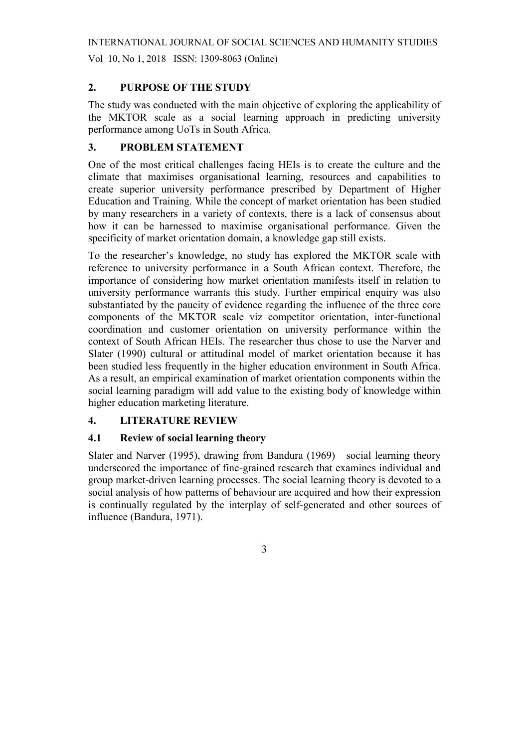Vol 10, No 1, 2018 ISSN: 1309-8063 (Online)

### 2. PURPOSE OF THE STUDY

The study was conducted with the main objective of exploring the applicability of the MKTOR scale as a social learning approach in predicting university performance among UoTs in South Africa.

### 3. PROBLEM STATEMENT

One of the most critical challenges facing HEIs is to create the culture and the climate that maximises organisational learning, resources and capabilities to create superior university performance prescribed by Department of Higher Education and Training. While the concept of market orientation has been studied by many researchers in a variety of contexts, there is a lack of consensus about how it can be harnessed to maximise organisational performance. Given the specificity of market orientation domain, a knowledge gap still exists.

To the researcher's knowledge, no study has explored the MKTOR scale with reference to university performance in a South African context. Therefore, the importance of considering how market orientation manifests itself in relation to university performance warrants this study. Further empirical enquiry was also substantiated by the paucity of evidence regarding the influence of the three core components of the MKTOR scale viz competitor orientation, inter-functional coordination and customer orientation on university performance within the context of South African HEIs. The researcher thus chose to use the Narver and Slater (1990) cultural or attitudinal model of market orientation because it has been studied less frequently in the higher education environment in South Africa. As a result, an empirical examination of market orientation components within the social learning paradigm will add value to the existing body of knowledge within higher education marketing literature.

### 4. LITERATURE REVIEW

#### 4.1 Review of social learning theory

Slater and Narver (1995), drawing from Bandura (1969) social learning theory underscored the importance of fine-grained research that examines individual and group market-driven learning processes. The social learning theory is devoted to a social analysis of how patterns of behaviour are acquired and how their expression is continually regulated by the interplay of self-generated and other sources of influence (Bandura, 1971).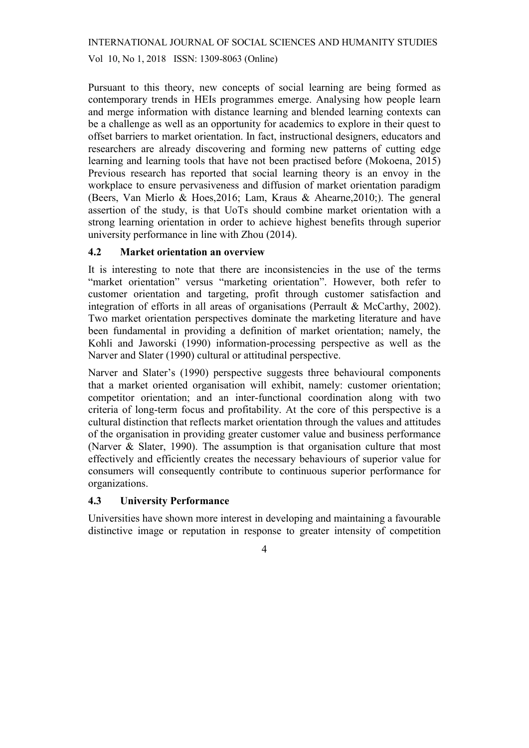Vol 10, No 1, 2018 ISSN: 1309-8063 (Online)

Pursuant to this theory, new concepts of social learning are being formed as contemporary trends in HEIs programmes emerge. Analysing how people learn and merge information with distance learning and blended learning contexts can be a challenge as well as an opportunity for academics to explore in their quest to offset barriers to market orientation. In fact, instructional designers, educators and researchers are already discovering and forming new patterns of cutting edge learning and learning tools that have not been practised before (Mokoena, 2015) Previous research has reported that social learning theory is an envoy in the workplace to ensure pervasiveness and diffusion of market orientation paradigm (Beers, Van Mierlo & Hoes,2016; Lam, Kraus & Ahearne,2010;). The general assertion of the study, is that UoTs should combine market orientation with a strong learning orientation in order to achieve highest benefits through superior university performance in line with Zhou (2014).

### 4.2 Market orientation an overview

It is interesting to note that there are inconsistencies in the use of the terms "market orientation" versus "marketing orientation". However, both refer to customer orientation and targeting, profit through customer satisfaction and integration of efforts in all areas of organisations (Perrault & McCarthy, 2002). Two market orientation perspectives dominate the marketing literature and have been fundamental in providing a definition of market orientation; namely, the Kohli and Jaworski (1990) information-processing perspective as well as the Narver and Slater (1990) cultural or attitudinal perspective.

Narver and Slater's (1990) perspective suggests three behavioural components that a market oriented organisation will exhibit, namely: customer orientation; competitor orientation; and an inter-functional coordination along with two criteria of long-term focus and profitability. At the core of this perspective is a cultural distinction that reflects market orientation through the values and attitudes of the organisation in providing greater customer value and business performance (Narver & Slater, 1990). The assumption is that organisation culture that most effectively and efficiently creates the necessary behaviours of superior value for consumers will consequently contribute to continuous superior performance for organizations.

#### 4.3 University Performance

Universities have shown more interest in developing and maintaining a favourable distinctive image or reputation in response to greater intensity of competition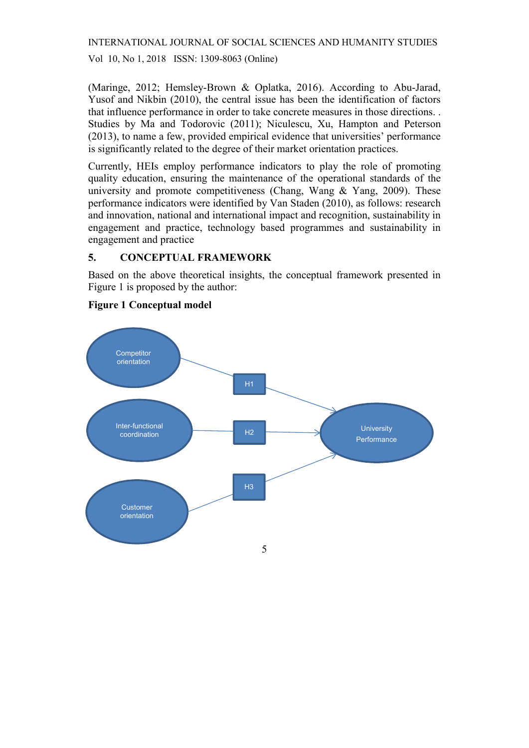Vol 10, No 1, 2018 ISSN: 1309-8063 (Online)

(Maringe, 2012; Hemsley-Brown & Oplatka, 2016). According to Abu-Jarad, Yusof and Nikbin (2010), the central issue has been the identification of factors that influence performance in order to take concrete measures in those directions. . Studies by Ma and Todorovic (2011); Niculescu, Xu, Hampton and Peterson (2013), to name a few, provided empirical evidence that universities' performance is significantly related to the degree of their market orientation practices.

Currently, HEIs employ performance indicators to play the role of promoting quality education, ensuring the maintenance of the operational standards of the university and promote competitiveness (Chang, Wang  $&$  Yang, 2009). These performance indicators were identified by Van Staden (2010), as follows: research and innovation, national and international impact and recognition, sustainability in engagement and practice, technology based programmes and sustainability in engagement and practice

### 5. CONCEPTUAL FRAMEWORK

Based on the above theoretical insights, the conceptual framework presented in Figure 1 is proposed by the author:



#### Figure 1 Conceptual model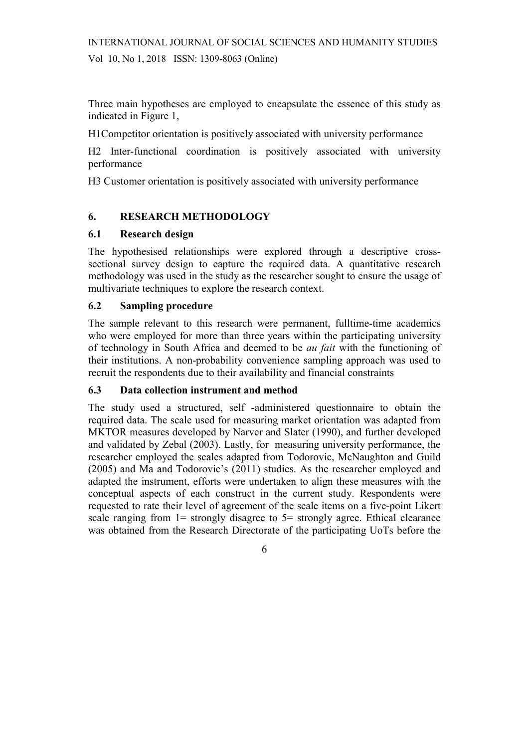Three main hypotheses are employed to encapsulate the essence of this study as indicated in Figure 1,

H1Competitor orientation is positively associated with university performance

H2 Inter-functional coordination is positively associated with university performance

H3 Customer orientation is positively associated with university performance

## 6. RESEARCH METHODOLOGY

### 6.1 Research design

The hypothesised relationships were explored through a descriptive crosssectional survey design to capture the required data. A quantitative research methodology was used in the study as the researcher sought to ensure the usage of multivariate techniques to explore the research context.

### 6.2 Sampling procedure

The sample relevant to this research were permanent, fulltime-time academics who were employed for more than three years within the participating university of technology in South Africa and deemed to be au fait with the functioning of their institutions. A non-probability convenience sampling approach was used to recruit the respondents due to their availability and financial constraints

#### 6.3 Data collection instrument and method

The study used a structured, self -administered questionnaire to obtain the required data. The scale used for measuring market orientation was adapted from MKTOR measures developed by Narver and Slater (1990), and further developed and validated by Zebal (2003). Lastly, for measuring university performance, the researcher employed the scales adapted from Todorovic, McNaughton and Guild (2005) and Ma and Todorovic's (2011) studies. As the researcher employed and adapted the instrument, efforts were undertaken to align these measures with the conceptual aspects of each construct in the current study. Respondents were requested to rate their level of agreement of the scale items on a five-point Likert scale ranging from  $1=$  strongly disagree to  $5=$  strongly agree. Ethical clearance was obtained from the Research Directorate of the participating UoTs before the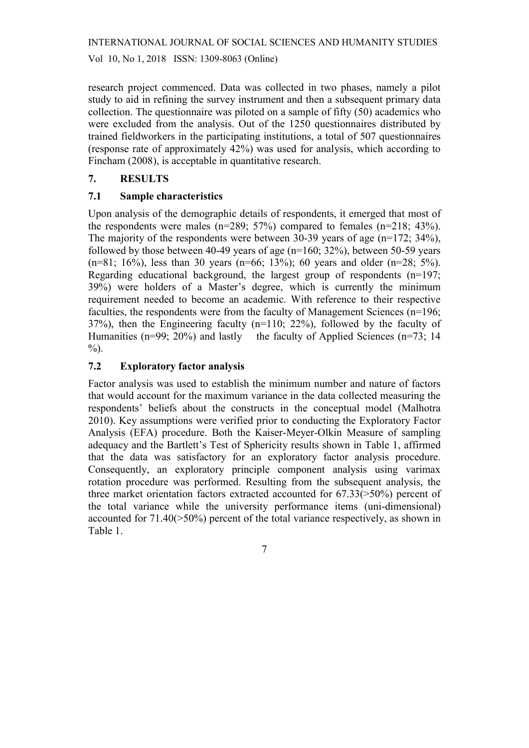Vol 10, No 1, 2018 ISSN: 1309-8063 (Online)

research project commenced. Data was collected in two phases, namely a pilot study to aid in refining the survey instrument and then a subsequent primary data collection. The questionnaire was piloted on a sample of fifty (50) academics who were excluded from the analysis. Out of the 1250 questionnaires distributed by trained fieldworkers in the participating institutions, a total of 507 questionnaires (response rate of approximately 42%) was used for analysis, which according to Fincham (2008), is acceptable in quantitative research.

### 7. RESULTS

### 7.1 Sample characteristics

Upon analysis of the demographic details of respondents, it emerged that most of the respondents were males (n=289; 57%) compared to females (n=218; 43%). The majority of the respondents were between 30-39 years of age (n=172; 34%), followed by those between 40-49 years of age ( $n=160$ ; 32%), between 50-59 years  $(n=81; 16\%)$ , less than 30 years  $(n=66; 13\%)$ ; 60 years and older  $(n=28; 5\%)$ . Regarding educational background, the largest group of respondents (n=197; 39%) were holders of a Master's degree, which is currently the minimum requirement needed to become an academic. With reference to their respective faculties, the respondents were from the faculty of Management Sciences (n=196; 37%), then the Engineering faculty (n=110; 22%), followed by the faculty of Humanities (n=99; 20%) and lastly the faculty of Applied Sciences (n=73; 14  $\%$ ).

### 7.2 Exploratory factor analysis

Factor analysis was used to establish the minimum number and nature of factors that would account for the maximum variance in the data collected measuring the respondents' beliefs about the constructs in the conceptual model (Malhotra 2010). Key assumptions were verified prior to conducting the Exploratory Factor Analysis (EFA) procedure. Both the Kaiser-Meyer-Olkin Measure of sampling adequacy and the Bartlett's Test of Sphericity results shown in Table 1, affirmed that the data was satisfactory for an exploratory factor analysis procedure. Consequently, an exploratory principle component analysis using varimax rotation procedure was performed. Resulting from the subsequent analysis, the three market orientation factors extracted accounted for 67.33(>50%) percent of the total variance while the university performance items (uni-dimensional) accounted for 71.40(>50%) percent of the total variance respectively, as shown in Table 1.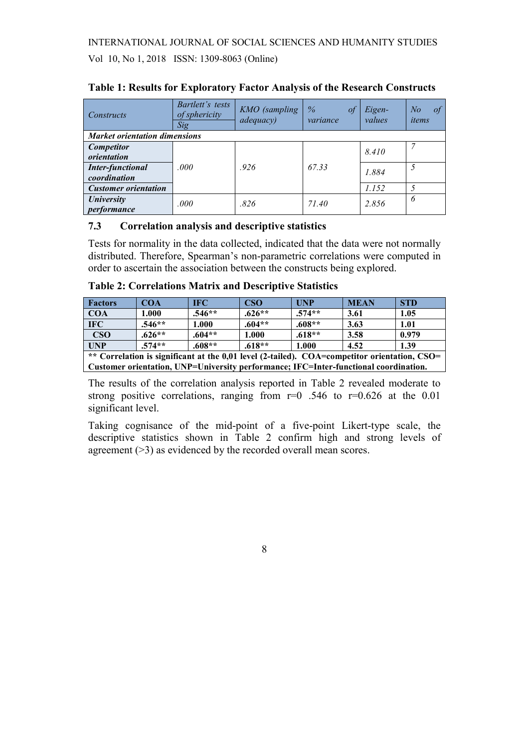# INTERNATIONAL JOURNAL OF SOCIAL SCIENCES AND HUMANITY STUDIES Vol 10, No 1, 2018 ISSN: 1309-8063 (Online)

| Constructs                              | Bartlett's tests<br>of sphericity<br>Sig | KMO (sampling<br>adequacy) | $\%$<br>оf<br>variance | Eigen-<br>values | of<br>No<br>items |  |  |  |
|-----------------------------------------|------------------------------------------|----------------------------|------------------------|------------------|-------------------|--|--|--|
| <b>Market orientation dimensions</b>    |                                          |                            |                        |                  |                   |  |  |  |
| <b>Competitor</b><br>orientation        |                                          |                            |                        | 8.410            |                   |  |  |  |
| <b>Inter-functional</b><br>coordination | .000                                     | .926                       | 67.33                  | 1.884            |                   |  |  |  |
| <b>Customer orientation</b>             |                                          |                            |                        | 1.152            |                   |  |  |  |
| <b>University</b><br>performance        | .000                                     | .826                       | 71.40                  | 2.856            | 6                 |  |  |  |

### Table 1: Results for Exploratory Factor Analysis of the Research Constructs

#### 7.3 Correlation analysis and descriptive statistics

Tests for normality in the data collected, indicated that the data were not normally distributed. Therefore, Spearman's non-parametric correlations were computed in order to ascertain the association between the constructs being explored.

| <b>Factors</b>                                                                               | <b>COA</b> | <b>IFC</b> | <b>CSO</b> | <b>UNP</b> | <b>MEAN</b> | <b>STD</b> |
|----------------------------------------------------------------------------------------------|------------|------------|------------|------------|-------------|------------|
| <b>COA</b>                                                                                   | 1.000      | $.546**$   | $.626**$   | $.574**$   | 3.61        | 1.05       |
| <b>IFC</b>                                                                                   | $.546**$   | 1.000      | $.604**$   | $.608**$   | 3.63        | 1.01       |
| $\bf CSO$                                                                                    | $.626**$   | $.604**$   | 1.000      | $.618**$   | 3.58        | 0.979      |
| <b>UNP</b>                                                                                   | $.574**$   | $.608**$   | $.618**$   | 1.000      | 4.52        | 1.39       |
| ** Correlation is significant at the 0,01 level (2-tailed). COA=competitor orientation, CSO= |            |            |            |            |             |            |
| Customer orientation, UNP=University performance; IFC=Inter-functional coordination.         |            |            |            |            |             |            |

The results of the correlation analysis reported in Table 2 revealed moderate to strong positive correlations, ranging from  $r=0$  .546 to  $r=0.626$  at the 0.01 significant level.

Taking cognisance of the mid-point of a five-point Likert-type scale, the descriptive statistics shown in Table 2 confirm high and strong levels of agreement (>3) as evidenced by the recorded overall mean scores.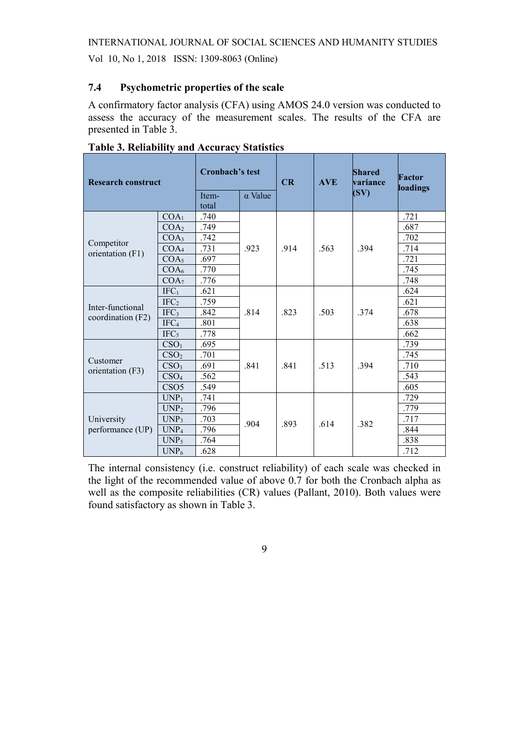Vol 10, No 1, 2018 ISSN: 1309-8063 (Online)

### 7.4 Psychometric properties of the scale

A confirmatory factor analysis (CFA) using AMOS 24.0 version was conducted to assess the accuracy of the measurement scales. The results of the CFA are presented in Table 3.

| <b>Research construct</b>             |                  | Cronbach's test<br>$\alpha$ Value<br>Item- |      | CR   | <b>AVE</b> | Shared<br>variance<br>(SV) | <b>Factor</b><br>loadings |
|---------------------------------------|------------------|--------------------------------------------|------|------|------------|----------------------------|---------------------------|
|                                       |                  | total                                      |      |      |            |                            |                           |
| Competitor<br>orientation (F1)        | COA <sub>1</sub> | .740                                       | .923 | .914 | .563       | .394                       | .721                      |
|                                       | COA <sub>2</sub> | .749                                       |      |      |            |                            | .687                      |
|                                       | COA <sub>3</sub> | .742                                       |      |      |            |                            | .702                      |
|                                       | COA <sub>4</sub> | .731                                       |      |      |            |                            | .714                      |
|                                       | COAs             | .697                                       |      |      |            |                            | .721                      |
|                                       | COA <sub>6</sub> | .770                                       |      |      |            |                            | .745                      |
|                                       | COA <sub>7</sub> | .776                                       |      |      |            |                            | .748                      |
| Inter-functional<br>coordination (F2) | IFC <sub>1</sub> | .621                                       | .814 |      |            |                            | .624                      |
|                                       | IFC <sub>2</sub> | .759                                       |      |      |            | .374                       | .621                      |
|                                       | IFC <sub>3</sub> | .842                                       |      | .823 | .503       |                            | .678                      |
|                                       | IFC <sub>4</sub> | .801                                       |      |      |            |                            | .638                      |
|                                       | IFC <sub>5</sub> | .778                                       |      |      |            |                            | .662                      |
|                                       | CSO <sub>1</sub> | .695                                       | .841 |      | .513       | .394                       | .739                      |
| Customer                              | CSO <sub>2</sub> | .701                                       |      |      |            |                            | .745                      |
| orientation (F3)                      | CSO <sub>3</sub> | .691                                       |      | .841 |            |                            | .710                      |
|                                       | CSO <sub>4</sub> | .562                                       |      |      |            |                            | .543                      |
|                                       | CSO <sub>5</sub> | .549                                       |      |      |            |                            | .605                      |
| University<br>performance (UP)        | $UNP_1$          | .741                                       | .904 |      |            | .382                       | .729                      |
|                                       | UNP <sub>2</sub> | .796                                       |      | .893 | .614       |                            | .779                      |
|                                       | UNP <sub>3</sub> | .703                                       |      |      |            |                            | .717                      |
|                                       | UNP <sub>4</sub> | .796                                       |      |      |            |                            | .844                      |
|                                       | $UNP_5$          | .764                                       |      |      |            |                            | .838                      |
|                                       | UNP <sub>6</sub> | .628                                       |      |      |            |                            | .712                      |

Table 3. Reliability and Accuracy Statistics

The internal consistency (i.e. construct reliability) of each scale was checked in the light of the recommended value of above 0.7 for both the Cronbach alpha as well as the composite reliabilities (CR) values (Pallant, 2010). Both values were found satisfactory as shown in Table 3.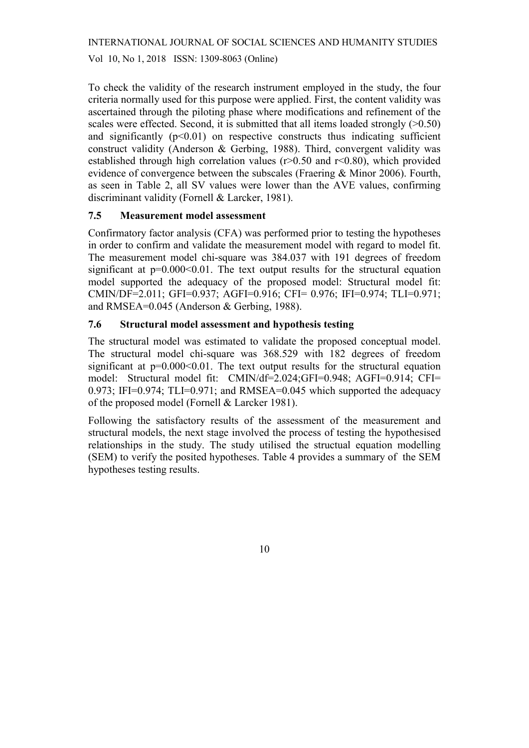Vol 10, No 1, 2018 ISSN: 1309-8063 (Online)

To check the validity of the research instrument employed in the study, the four criteria normally used for this purpose were applied. First, the content validity was ascertained through the piloting phase where modifications and refinement of the scales were effected. Second, it is submitted that all items loaded strongly  $(>0.50)$ and significantly  $(p<0.01)$  on respective constructs thus indicating sufficient construct validity (Anderson & Gerbing, 1988). Third, convergent validity was established through high correlation values ( $r > 0.50$  and  $r < 0.80$ ), which provided evidence of convergence between the subscales (Fraering & Minor 2006). Fourth, as seen in Table 2, all SV values were lower than the AVE values, confirming discriminant validity (Fornell & Larcker, 1981).

### 7.5 Measurement model assessment

Confirmatory factor analysis (CFA) was performed prior to testing the hypotheses in order to confirm and validate the measurement model with regard to model fit. The measurement model chi-square was 384.037 with 191 degrees of freedom significant at  $p=0.000<0.01$ . The text output results for the structural equation model supported the adequacy of the proposed model: Structural model fit: CMIN/DF=2.011; GFI=0.937; AGFI=0.916; CFI= 0.976; IFI=0.974; TLI=0.971; and RMSEA=0.045 (Anderson & Gerbing, 1988).

### 7.6 Structural model assessment and hypothesis testing

The structural model was estimated to validate the proposed conceptual model. The structural model chi-square was 368.529 with 182 degrees of freedom significant at  $p=0.000<0.01$ . The text output results for the structural equation model: Structural model fit: CMIN/df=2.024;GFI=0.948; AGFI=0.914; CFI= 0.973; IFI=0.974; TLI=0.971; and RMSEA=0.045 which supported the adequacy of the proposed model (Fornell & Larcker 1981).

Following the satisfactory results of the assessment of the measurement and structural models, the next stage involved the process of testing the hypothesised relationships in the study. The study utilised the structual equation modelling (SEM) to verify the posited hypotheses. Table 4 provides a summary of the SEM hypotheses testing results.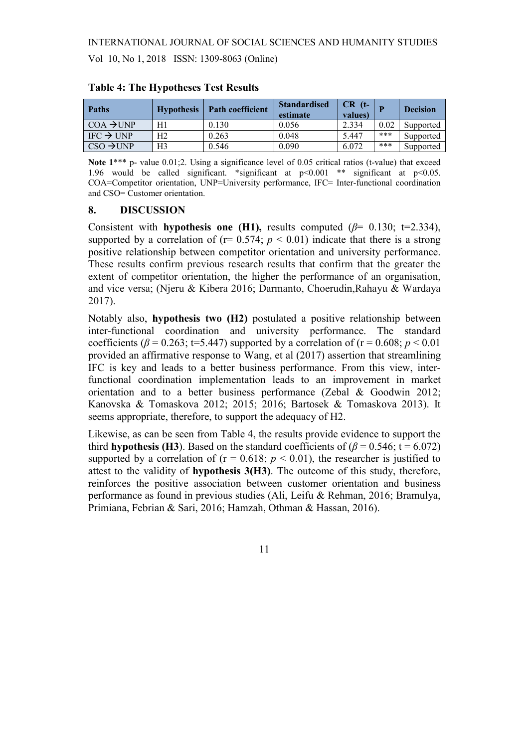| <b>Paths</b>                    | <b>Hypothesis</b> | <b>Path coefficient</b> | <b>Standardised</b><br>estimate | $CR$ (t-<br>values) |      | <b>Decision</b> |
|---------------------------------|-------------------|-------------------------|---------------------------------|---------------------|------|-----------------|
| $COA \rightarrow UNP$           | H1                | 0.130                   | 0.056                           | 2.334               | 0.02 | Supported       |
| $IFC \rightarrow UNP$           | Η2                | 0.263                   | 0.048                           | 5.447               | ***  | Supported       |
| $\cos \theta$ $\rightarrow$ UNP | H3                | 0.546                   | 0.090                           | 6.072               | ***  | Supported       |

Table 4: The Hypotheses Test Results

Note 1<sup>\*\*\*</sup> p- value 0.01;2. Using a significance level of 0.05 critical ratios (t-value) that exceed 1.96 would be called significant. \*significant at p<0.001 \*\* significant at p<0.05. COA=Competitor orientation, UNP=University performance, IFC= Inter-functional coordination and CSO= Customer orientation.

#### 8. DISCUSSION

Consistent with hypothesis one (H1), results computed ( $\beta$ = 0.130; t=2.334), supported by a correlation of ( $r= 0.574$ ;  $p < 0.01$ ) indicate that there is a strong positive relationship between competitor orientation and university performance. These results confirm previous research results that confirm that the greater the extent of competitor orientation, the higher the performance of an organisation, and vice versa; (Njeru & Kibera 2016; Darmanto, Choerudin,Rahayu & Wardaya 2017).

Notably also, hypothesis two (H2) postulated a positive relationship between inter-functional coordination and university performance. The standard coefficients ( $\beta$  = 0.263; t=5.447) supported by a correlation of (r = 0.608;  $p < 0.01$ ) provided an affirmative response to Wang, et al (2017) assertion that streamlining IFC is key and leads to a better business performance. From this view, interfunctional coordination implementation leads to an improvement in market orientation and to a better business performance (Zebal & Goodwin 2012; Kanovska & Tomaskova 2012; 2015; 2016; Bartosek & Tomaskova 2013). It seems appropriate, therefore, to support the adequacy of H2.

Likewise, as can be seen from Table 4, the results provide evidence to support the third hypothesis (H3). Based on the standard coefficients of ( $\beta$  = 0.546; t = 6.072) supported by a correlation of ( $r = 0.618$ ;  $p < 0.01$ ), the researcher is justified to attest to the validity of hypothesis 3(H3). The outcome of this study, therefore, reinforces the positive association between customer orientation and business performance as found in previous studies (Ali, Leifu & Rehman, 2016; Bramulya, Primiana, Febrian & Sari, 2016; Hamzah, Othman & Hassan, 2016).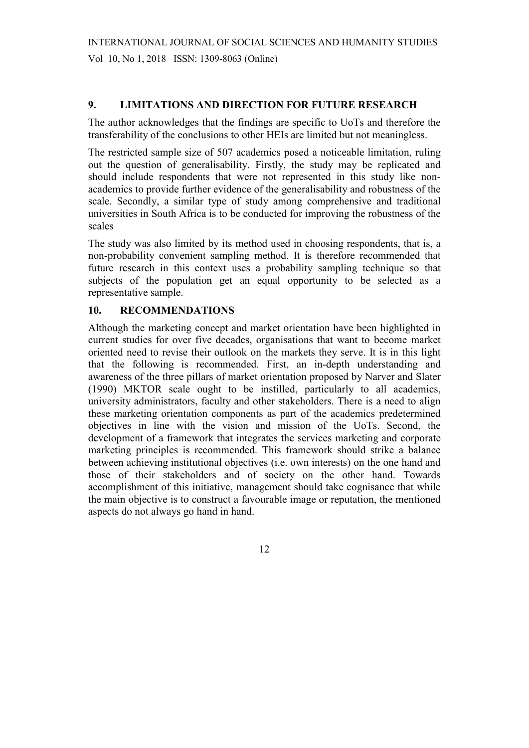## 9. LIMITATIONS AND DIRECTION FOR FUTURE RESEARCH

The author acknowledges that the findings are specific to UoTs and therefore the transferability of the conclusions to other HEIs are limited but not meaningless.

The restricted sample size of 507 academics posed a noticeable limitation, ruling out the question of generalisability. Firstly, the study may be replicated and should include respondents that were not represented in this study like nonacademics to provide further evidence of the generalisability and robustness of the scale. Secondly, a similar type of study among comprehensive and traditional universities in South Africa is to be conducted for improving the robustness of the scales

The study was also limited by its method used in choosing respondents, that is, a non-probability convenient sampling method. It is therefore recommended that future research in this context uses a probability sampling technique so that subjects of the population get an equal opportunity to be selected as a representative sample.

### 10. RECOMMENDATIONS

Although the marketing concept and market orientation have been highlighted in current studies for over five decades, organisations that want to become market oriented need to revise their outlook on the markets they serve. It is in this light that the following is recommended. First, an in-depth understanding and awareness of the three pillars of market orientation proposed by Narver and Slater (1990) MKTOR scale ought to be instilled, particularly to all academics, university administrators, faculty and other stakeholders. There is a need to align these marketing orientation components as part of the academics predetermined objectives in line with the vision and mission of the UoTs. Second, the development of a framework that integrates the services marketing and corporate marketing principles is recommended. This framework should strike a balance between achieving institutional objectives (i.e. own interests) on the one hand and those of their stakeholders and of society on the other hand. Towards accomplishment of this initiative, management should take cognisance that while the main objective is to construct a favourable image or reputation, the mentioned aspects do not always go hand in hand.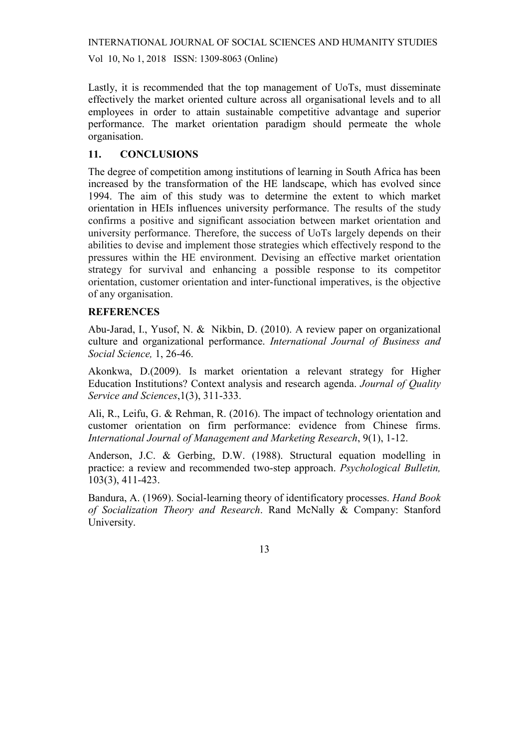Vol 10, No 1, 2018 ISSN: 1309-8063 (Online)

Lastly, it is recommended that the top management of UoTs, must disseminate effectively the market oriented culture across all organisational levels and to all employees in order to attain sustainable competitive advantage and superior performance. The market orientation paradigm should permeate the whole organisation.

### 11. CONCLUSIONS

The degree of competition among institutions of learning in South Africa has been increased by the transformation of the HE landscape, which has evolved since 1994. The aim of this study was to determine the extent to which market orientation in HEIs influences university performance. The results of the study confirms a positive and significant association between market orientation and university performance. Therefore, the success of UoTs largely depends on their abilities to devise and implement those strategies which effectively respond to the pressures within the HE environment. Devising an effective market orientation strategy for survival and enhancing a possible response to its competitor orientation, customer orientation and inter-functional imperatives, is the objective of any organisation.

### **REFERENCES**

Abu-Jarad, I., Yusof, N. & Nikbin, D. (2010). A review paper on organizational culture and organizational performance. International Journal of Business and Social Science, 1, 26-46.

Akonkwa, D.(2009). Is market orientation a relevant strategy for Higher Education Institutions? Context analysis and research agenda. Journal of Quality Service and Sciences, 1(3), 311-333.

Ali, R., Leifu, G. & Rehman, R. (2016). The impact of technology orientation and customer orientation on firm performance: evidence from Chinese firms. International Journal of Management and Marketing Research, 9(1), 1-12.

Anderson, J.C. & Gerbing, D.W. (1988). Structural equation modelling in practice: a review and recommended two-step approach. Psychological Bulletin, 103(3), 411-423.

Bandura, A. (1969). Social-learning theory of identificatory processes. Hand Book of Socialization Theory and Research. Rand McNally & Company: Stanford University.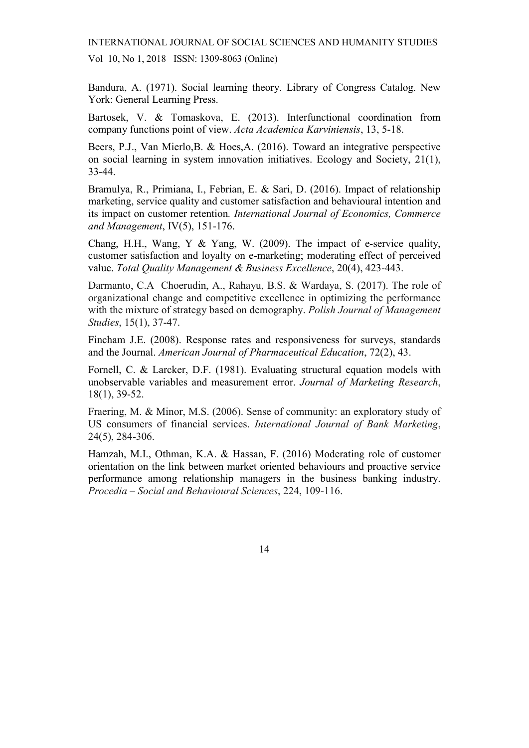Vol 10, No 1, 2018 ISSN: 1309-8063 (Online)

Bandura, A. (1971). Social learning theory. Library of Congress Catalog. New York: General Learning Press.

Bartosek, V. & Tomaskova, E. (2013). Interfunctional coordination from company functions point of view. Acta Academica Karviniensis, 13, 5-18.

Beers, P.J., Van Mierlo,B. & Hoes,A. (2016). Toward an integrative perspective on social learning in system innovation initiatives. Ecology and Society, 21(1), 33-44.

Bramulya, R., Primiana, I., Febrian, E. & Sari, D. (2016). Impact of relationship marketing, service quality and customer satisfaction and behavioural intention and its impact on customer retention. International Journal of Economics, Commerce and Management, IV(5), 151-176.

Chang, H.H., Wang, Y & Yang, W. (2009). The impact of e-service quality, customer satisfaction and loyalty on e-marketing; moderating effect of perceived value. Total Quality Management & Business Excellence, 20(4), 423-443.

Darmanto, C.A Choerudin, A., Rahayu, B.S. & Wardaya, S. (2017). The role of organizational change and competitive excellence in optimizing the performance with the mixture of strategy based on demography. Polish Journal of Management Studies, 15(1), 37-47.

Fincham J.E. (2008). Response rates and responsiveness for surveys, standards and the Journal. American Journal of Pharmaceutical Education, 72(2), 43.

Fornell, C. & Larcker, D.F. (1981). Evaluating structural equation models with unobservable variables and measurement error. Journal of Marketing Research, 18(1), 39-52.

Fraering, M. & Minor, M.S. (2006). Sense of community: an exploratory study of US consumers of financial services. International Journal of Bank Marketing, 24(5), 284-306.

Hamzah, M.I., Othman, K.A. & Hassan, F. (2016) Moderating role of customer orientation on the link between market oriented behaviours and proactive service performance among relationship managers in the business banking industry. Procedia – Social and Behavioural Sciences, 224, 109-116.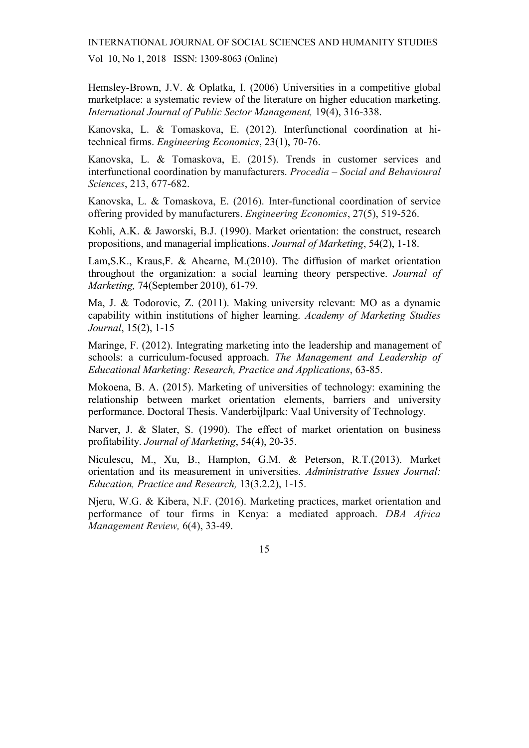Vol 10, No 1, 2018 ISSN: 1309-8063 (Online)

Hemsley-Brown, J.V. & Oplatka, I. (2006) Universities in a competitive global marketplace: a systematic review of the literature on higher education marketing. International Journal of Public Sector Management, 19(4), 316-338.

Kanovska, L. & Tomaskova, E. (2012). Interfunctional coordination at hitechnical firms. Engineering Economics, 23(1), 70-76.

Kanovska, L. & Tomaskova, E. (2015). Trends in customer services and interfunctional coordination by manufacturers. Procedia – Social and Behavioural Sciences, 213, 677-682.

Kanovska, L. & Tomaskova, E. (2016). Inter-functional coordination of service offering provided by manufacturers. Engineering Economics, 27(5), 519-526.

Kohli, A.K. & Jaworski, B.J. (1990). Market orientation: the construct, research propositions, and managerial implications. Journal of Marketing, 54(2), 1-18.

Lam,S.K., Kraus,F. & Ahearne, M.(2010). The diffusion of market orientation throughout the organization: a social learning theory perspective. Journal of Marketing, 74(September 2010), 61-79.

Ma, J. & Todorovic, Z. (2011). Making university relevant: MO as a dynamic capability within institutions of higher learning. Academy of Marketing Studies Journal, 15(2), 1-15

Maringe, F. (2012). Integrating marketing into the leadership and management of schools: a curriculum-focused approach. The Management and Leadership of Educational Marketing: Research, Practice and Applications, 63-85.

Mokoena, B. A. (2015). Marketing of universities of technology: examining the relationship between market orientation elements, barriers and university performance. Doctoral Thesis. Vanderbijlpark: Vaal University of Technology.

Narver, J. & Slater, S. (1990). The effect of market orientation on business profitability. Journal of Marketing, 54(4), 20-35.

Niculescu, M., Xu, B., Hampton, G.M. & Peterson, R.T.(2013). Market orientation and its measurement in universities. Administrative Issues Journal: Education, Practice and Research, 13(3.2.2), 1-15.

Njeru, W.G. & Kibera, N.F. (2016). Marketing practices, market orientation and performance of tour firms in Kenya: a mediated approach. DBA Africa Management Review, 6(4), 33-49.